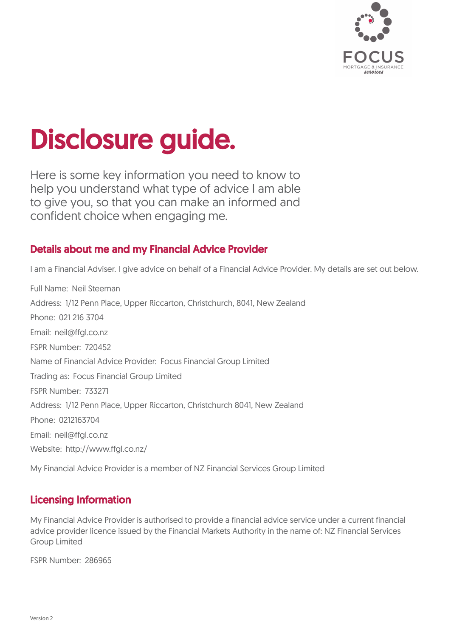

# Disclosure guide.

Here is some key information you need to know to help you understand what type of advice I am able to give you, so that you can make an informed and confident choice when engaging me.

# Details about me and my Financial Advice Provider

I am a Financial Adviser. I give advice on behalf of a Financial Advice Provider. My details are set out below.

Full Name: Neil Steeman Address: 1/12 Penn Place, Upper Riccarton, Christchurch, 8041, New Zealand Phone: 021 216 3704 Email: neil@ffgl.co.nz FSPR Number: 720452 Name of Financial Advice Provider: Focus Financial Group Limited Trading as: Focus Financial Group Limited FSPR Number: 733271 Address: 1/12 Penn Place, Upper Riccarton, Christchurch 8041, New Zealand Phone: 0212163704 Email: neil@ffgl.co.nz Website: http://www.ffgl.co.nz/

My Financial Advice Provider is a member of NZ Financial Services Group Limited

# Licensing Information

My Financial Advice Provider is authorised to provide a financial advice service under a current financial advice provider licence issued by the Financial Markets Authority in the name of: NZ Financial Services Group Limited

FSPR Number: 286965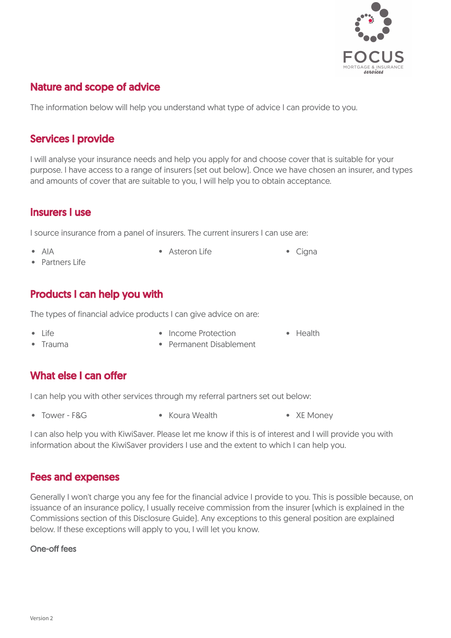

# Nature and scope of advice .

The information below will help you understand what type of advice I can provide to you.

#### Services I provide

I will analyse your insurance needs and help you apply for and choose cover that is suitable for your purpose. I have access to a range of insurers (set out below). Once we have chosen an insurer, and types and amounts of cover that are suitable to you, I will help you to obtain acceptance.

#### Insurers I use

I source insurance from a panel of insurers. The current insurers I can use are:

- 
- AIA Asteron Life Cigna
- Partners Life

### Products I can help you with

The types of financial advice products I can give advice on are:

- 
- Life Income Protection Health
- 
- 
- Trauma **Permanent Disablement**

# What else I can offer

I can help you with other services through my referral partners set out below:

- 
- Tower F&G Koura Wealth XE Money

I can also help you with KiwiSaver. Please let me know if this is of interest and I will provide you with information about the KiwiSaver providers I use and the extent to which I can help you.

#### Fees and expenses

Generally I won't charge you any fee for the financial advice I provide to you. This is possible because, on issuance of an insurance policy, I usually receive commission from the insurer (which is explained in the Commissions section of this Disclosure Guide). Any exceptions to this general position are explained below. If these exceptions will apply to you, I will let you know.

#### One-off fees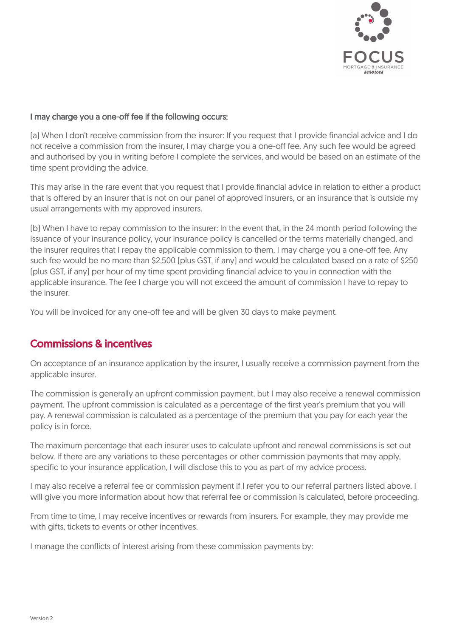

#### I may charge you a one-off fee if the following occurs:

(a) When I don't receive commission from the insurer: If you request that I provide financial advice and I do not receive a commission from the insurer, I may charge you a one-off fee. Any such fee would be agreed and authorised by you in writing before I complete the services, and would be based on an estimate of the time spent providing the advice.

This may arise in the rare event that you request that I provide financial advice in relation to either a product that is offered by an insurer that is not on our panel of approved insurers, or an insurance that is outside my usual arrangements with my approved insurers.

(b) When I have to repay commission to the insurer: In the event that, in the 24 month period following the issuance of your insurance policy, your insurance policy is cancelled or the terms materially changed, and the insurer requires that I repay the applicable commission to them, I may charge you a one-off fee. Any such fee would be no more than \$2,500 (plus GST, if any) and would be calculated based on a rate of \$250 (plus GST, if any) per hour of my time spent providing financial advice to you in connection with the applicable insurance. The fee I charge you will not exceed the amount of commission I have to repay to the insurer.

You will be invoiced for any one-off fee and will be given 30 days to make payment.

#### Commissions & incentives

On acceptance of an insurance application by the insurer, I usually receive a commission payment from the applicable insurer.

The commission is generally an upfront commission payment, but I may also receive a renewal commission payment. The upfront commission is calculated as a percentage of the first year's premium that you will pay. A renewal commission is calculated as a percentage of the premium that you pay for each year the policy is in force.

The maximum percentage that each insurer uses to calculate upfront and renewal commissions is set out below. If there are any variations to these percentages or other commission payments that may apply, specific to your insurance application, I will disclose this to you as part of my advice process.

I may also receive a referral fee or commission payment if I refer you to our referral partners listed above. I will give you more information about how that referral fee or commission is calculated, before proceeding.

From time to time, I may receive incentives or rewards from insurers. For example, they may provide me with gifts, tickets to events or other incentives.

I manage the conflicts of interest arising from these commission payments by: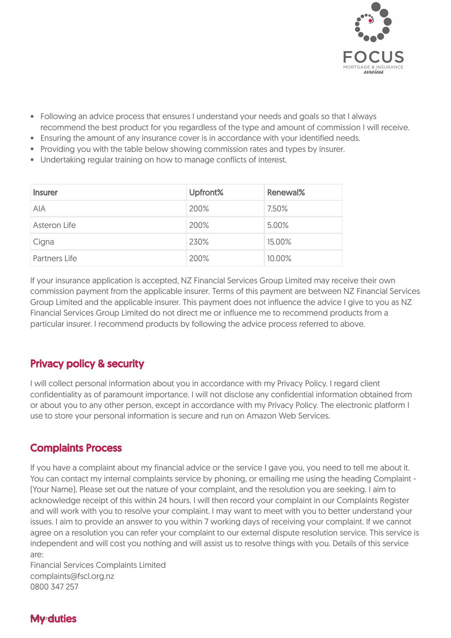

- Following an advice process that ensures I understand your needs and goals so that I always recommend the best product for you regardless of the type and amount of commission I will receive.
- Ensuring the amount of any insurance cover is in accordance with your identified needs.
- Providing you with the table below showing commission rates and types by insurer.
- Undertaking regular training on how to manage conflicts of interest.

| <b>Insurer</b>       | Upfront% | Renewal% |
|----------------------|----------|----------|
| <b>AIA</b>           | 200%     | 7.50%    |
| Asteron Life         | 200%     | 5.00%    |
| Cigna                | 230%     | 15.00%   |
| <b>Partners Life</b> | 200%     | 10.00%   |

If your insurance application is accepted, NZ Financial Services Group Limited may receive their own commission payment from the applicable insurer. Terms of this payment are between NZ Financial Services Group Limited and the applicable insurer. This payment does not influence the advice I give to you as NZ Financial Services Group Limited do not direct me or influence me to recommend products from a particular insurer. I recommend products by following the advice process referred to above.

# Privacy policy & security

I will collect personal information about you in accordance with my Privacy Policy. I regard client confidentiality as of paramount importance. I will not disclose any confidential information obtained from or about you to any other person, except in accordance with my Privacy Policy. The electronic platform I use to store your personal information is secure and run on Amazon Web Services.

# Complaints Process

If you have a complaint about my financial advice or the service I gave you, you need to tell me about it. You can contact my internal complaints service by phoning, or emailing me using the heading Complaint - (Your Name). Please set out the nature of your complaint, and the resolution you are seeking. I aim to acknowledge receipt of this within 24 hours. I will then record your complaint in our Complaints Register and will work with you to resolve your complaint. I may want to meet with you to better understand your issues. I aim to provide an answer to you within 7 working days of receiving your complaint. If we cannot agree on a resolution you can refer your complaint to our external dispute resolution service. This service is independent and will cost you nothing and will assist us to resolve things with you. Details of this service are:

Financial Services Complaints Limited complaints@fscl.org.nz 0800 347 257

# **My<sub>rduties</sub>**